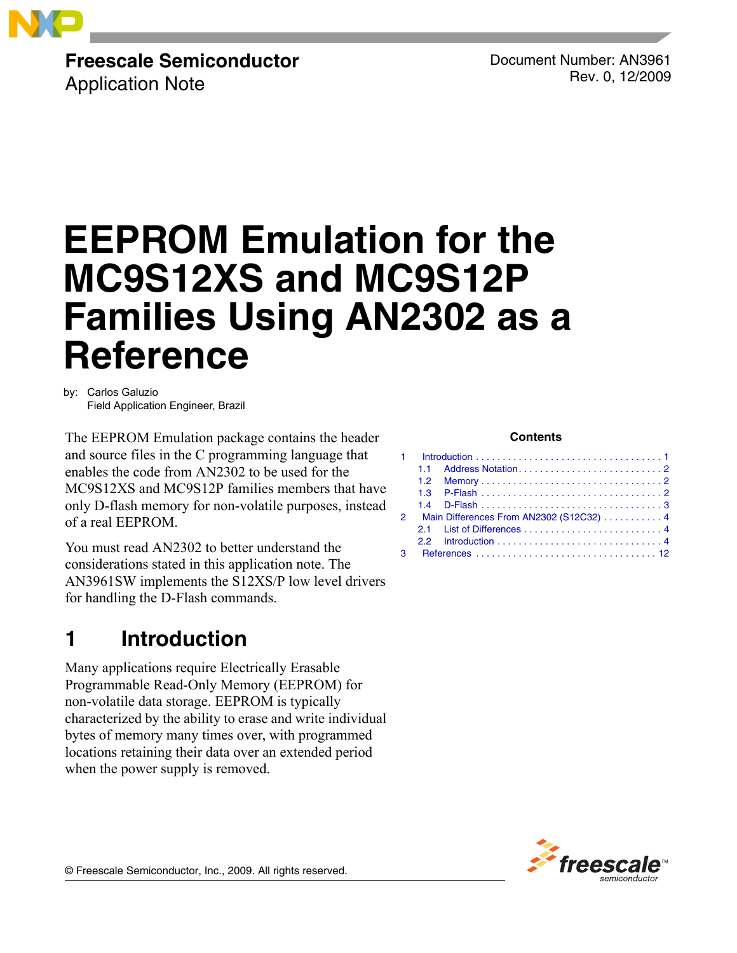

## **Freescale Semiconductor**

Application Note

Document Number: AN3961 Rev. 0, 12/2009

# **EEPROM Emulation for the MC9S12XS and MC9S12P Families Using AN2302 as a Reference**

by: Carlos Galuzio Field Application Engineer, Brazil

The EEPROM Emulation package contains the header and source files in the C programming language that enables the code from AN2302 to be used for the MC9S12XS and MC9S12P families members that have only D-flash memory for non-volatile purposes, instead of a real EEPROM.

You must read AN2302 to better understand the considerations stated in this application note. The AN3961SW implements the S12XS/P low level drivers for handling the D-Flash commands.

## <span id="page-0-0"></span>**1 Introduction**

Many applications require Electrically Erasable Programmable Read-Only Memory (EEPROM) for non-volatile data storage. EEPROM is typically characterized by the ability to erase and write individual bytes of memory many times over, with programmed locations retaining their data over an extended period when the power supply is removed.

#### **Contents**

| 1. |  |                                          |  |
|----|--|------------------------------------------|--|
|    |  |                                          |  |
|    |  |                                          |  |
|    |  |                                          |  |
|    |  |                                          |  |
| 2. |  | Main Differences From AN2302 (S12C32)  4 |  |
|    |  |                                          |  |
|    |  |                                          |  |
|    |  |                                          |  |
|    |  |                                          |  |



© Freescale Semiconductor, Inc., 2009. All rights reserved.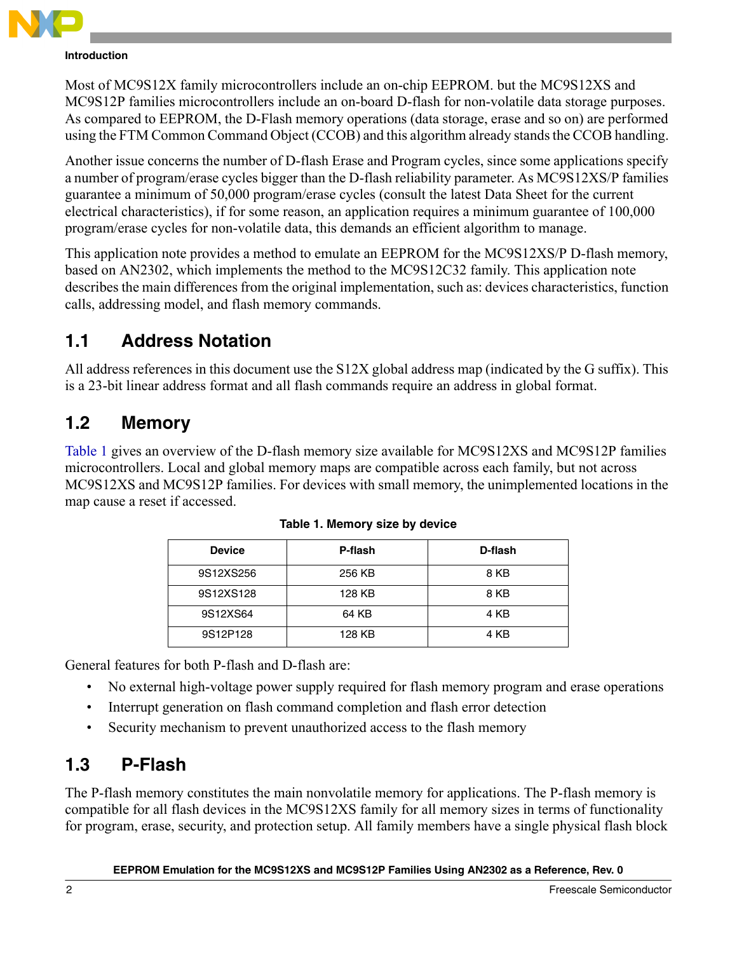

#### **Introduction**

Most of MC9S12X family microcontrollers include an on-chip EEPROM. but the MC9S12XS and MC9S12P families microcontrollers include an on-board D-flash for non-volatile data storage purposes. As compared to EEPROM, the D-Flash memory operations (data storage, erase and so on) are performed using the FTM Common Command Object (CCOB) and this algorithm already stands the CCOB handling.

Another issue concerns the number of D-flash Erase and Program cycles, since some applications specify a number of program/erase cycles bigger than the D-flash reliability parameter. As MC9S12XS/P families guarantee a minimum of 50,000 program/erase cycles (consult the latest Data Sheet for the current electrical characteristics), if for some reason, an application requires a minimum guarantee of 100,000 program/erase cycles for non-volatile data, this demands an efficient algorithm to manage.

This application note provides a method to emulate an EEPROM for the MC9S12XS/P D-flash memory, based on AN2302, which implements the method to the MC9S12C32 family. This application note describes the main differences from the original implementation, such as: devices characteristics, function calls, addressing model, and flash memory commands.

## <span id="page-1-0"></span>**1.1 Address Notation**

All address references in this document use the S12X global address map (indicated by the G suffix). This is a 23-bit linear address format and all flash commands require an address in global format.

## <span id="page-1-1"></span>**1.2 Memory**

<span id="page-1-3"></span>[Table 1](#page-1-3) gives an overview of the D-flash memory size available for MC9S12XS and MC9S12P families microcontrollers. Local and global memory maps are compatible across each family, but not across MC9S12XS and MC9S12P families. For devices with small memory, the unimplemented locations in the map cause a reset if accessed.

| <b>Device</b> | P-flash | D-flash |
|---------------|---------|---------|
| 9S12XS256     | 256 KB  | 8 KB    |
| 9S12XS128     | 128 KB  | 8 KB    |
| 9S12XS64      | 64 KB   | 4 KB    |
| 9S12P128      | 128 KB  | 4 KB    |

General features for both P-flash and D-flash are:

- No external high-voltage power supply required for flash memory program and erase operations
- Interrupt generation on flash command completion and flash error detection
- Security mechanism to prevent unauthorized access to the flash memory

## <span id="page-1-2"></span>**1.3 P-Flash**

The P-flash memory constitutes the main nonvolatile memory for applications. The P-flash memory is compatible for all flash devices in the MC9S12XS family for all memory sizes in terms of functionality for program, erase, security, and protection setup. All family members have a single physical flash block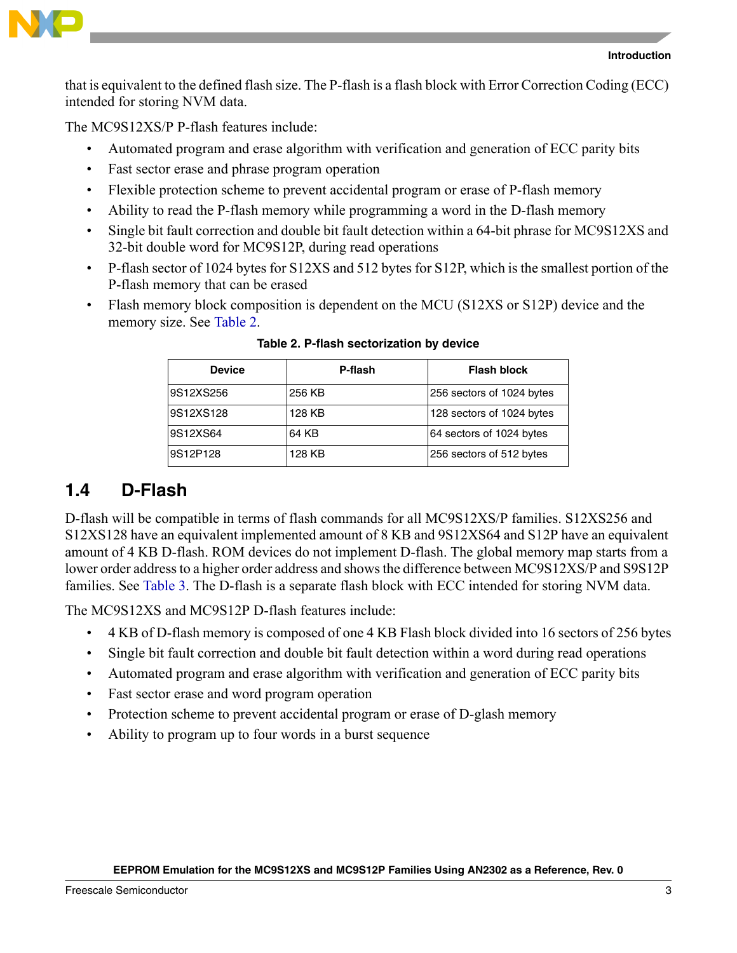

that is equivalent to the defined flash size. The P-flash is a flash block with Error Correction Coding (ECC) intended for storing NVM data.

The MC9S12XS/P P-flash features include:

- Automated program and erase algorithm with verification and generation of ECC parity bits
- Fast sector erase and phrase program operation
- Flexible protection scheme to prevent accidental program or erase of P-flash memory
- Ability to read the P-flash memory while programming a word in the D-flash memory
- Single bit fault correction and double bit fault detection within a 64-bit phrase for MC9S12XS and 32-bit double word for MC9S12P, during read operations
- P-flash sector of 1024 bytes for S12XS and 512 bytes for S12P, which is the smallest portion of the P-flash memory that can be erased
- <span id="page-2-1"></span>• Flash memory block composition is dependent on the MCU (S12XS or S12P) device and the memory size. See [Table 2](#page-2-1).

| <b>Device</b> | P-flash | <b>Flash block</b>        |
|---------------|---------|---------------------------|
| 9S12XS256     | 256 KB  | 256 sectors of 1024 bytes |
| 9S12XS128     | 128 KB  | 128 sectors of 1024 bytes |
| 9S12XS64      | 64 KB   | 64 sectors of 1024 bytes  |
| 9S12P128      | 128 KB  | 256 sectors of 512 bytes  |

**Table 2. P-flash sectorization by device**

## <span id="page-2-0"></span>**1.4 D-Flash**

D-flash will be compatible in terms of flash commands for all MC9S12XS/P families. S12XS256 and S12XS128 have an equivalent implemented amount of 8 KB and 9S12XS64 and S12P have an equivalent amount of 4 KB D-flash. ROM devices do not implement D-flash. The global memory map starts from a lower order address to a higher order address and shows the difference between MC9S12XS/P and S9S12P families. See [Table 3](#page-3-3). The D-flash is a separate flash block with ECC intended for storing NVM data.

The MC9S12XS and MC9S12P D-flash features include:

- 4 KB of D-flash memory is composed of one 4 KB Flash block divided into 16 sectors of 256 bytes
- Single bit fault correction and double bit fault detection within a word during read operations
- Automated program and erase algorithm with verification and generation of ECC parity bits
- Fast sector erase and word program operation
- Protection scheme to prevent accidental program or erase of D-glash memory
- Ability to program up to four words in a burst sequence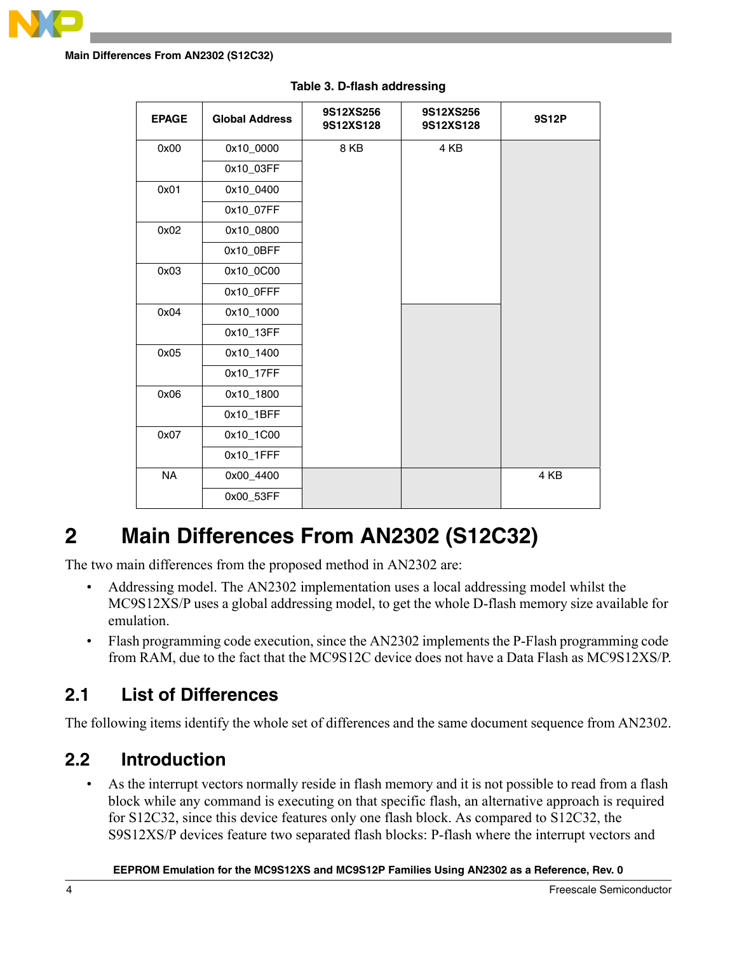

<span id="page-3-3"></span>

| <b>EPAGE</b> | <b>Global Address</b> | 9S12XS256<br>9S12XS128 | 9S12XS256<br>9S12XS128 | 9S12P |
|--------------|-----------------------|------------------------|------------------------|-------|
| 0x00         | 0x10_0000             | 8 KB                   | 4 KB                   |       |
|              | 0x10_03FF             |                        |                        |       |
| 0x01         | 0x10_0400             |                        |                        |       |
|              | 0x10_07FF             |                        |                        |       |
| 0x02         | 0x10_0800             |                        |                        |       |
|              | 0x10_0BFF             |                        |                        |       |
| 0x03         | 0x10_0C00             |                        |                        |       |
|              | 0x10_0FFF             |                        |                        |       |
| 0x04         | 0x10_1000             |                        |                        |       |
|              | 0x10_13FF             |                        |                        |       |
| 0x05         | 0x10_1400             |                        |                        |       |
|              | 0x10_17FF             |                        |                        |       |
| 0x06         | 0x10_1800             |                        |                        |       |
|              | 0x10_1BFF             |                        |                        |       |
| 0x07         | 0x10_1C00             |                        |                        |       |
|              | 0x10_1FFF             |                        |                        |       |
| <b>NA</b>    | 0x00_4400             |                        |                        | 4 KB  |
|              | 0x00_53FF             |                        |                        |       |

#### **Table 3. D-flash addressing**

## <span id="page-3-0"></span>**2 Main Differences From AN2302 (S12C32)**

The two main differences from the proposed method in AN2302 are:

- Addressing model. The AN2302 implementation uses a local addressing model whilst the MC9S12XS/P uses a global addressing model, to get the whole D-flash memory size available for emulation.
- Flash programming code execution, since the AN2302 implements the P-Flash programming code from RAM, due to the fact that the MC9S12C device does not have a Data Flash as MC9S12XS/P.

## <span id="page-3-1"></span>**2.1 List of Differences**

The following items identify the whole set of differences and the same document sequence from AN2302.

## <span id="page-3-2"></span>**2.2 Introduction**

As the interrupt vectors normally reside in flash memory and it is not possible to read from a flash block while any command is executing on that specific flash, an alternative approach is required for S12C32, since this device features only one flash block. As compared to S12C32, the S9S12XS/P devices feature two separated flash blocks: P-flash where the interrupt vectors and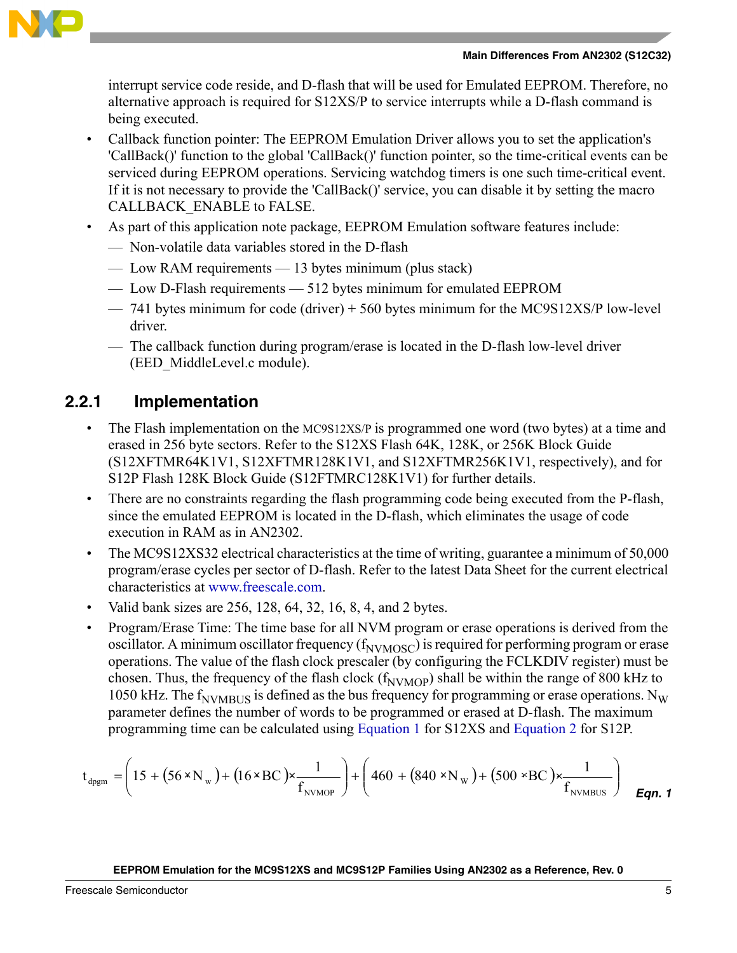

interrupt service code reside, and D-flash that will be used for Emulated EEPROM. Therefore, no alternative approach is required for  $S12XS/P$  to service interrupts while a D-flash command is being executed.

- Callback function pointer: The EEPROM Emulation Driver allows you to set the application's 'CallBack()' function to the global 'CallBack()' function pointer, so the time-critical events can be serviced during EEPROM operations. Servicing watchdog timers is one such time-critical event. If it is not necessary to provide the 'CallBack()' service, you can disable it by setting the macro CALLBACK\_ENABLE to FALSE.
- As part of this application note package, EEPROM Emulation software features include:
	- Non-volatile data variables stored in the D-flash
	- Low RAM requirements 13 bytes minimum (plus stack)
	- Low D-Flash requirements 512 bytes minimum for emulated EEPROM
	- 741 bytes minimum for code (driver) + 560 bytes minimum for the MC9S12XS/P low-level driver.
	- The callback function during program/erase is located in the D-flash low-level driver (EED\_MiddleLevel.c module).

## **2.2.1 Implementation**

- The Flash implementation on the MC9S12XS/P is programmed one word (two bytes) at a time and erased in 256 byte sectors. Refer to the S12XS Flash 64K, 128K, or 256K Block Guide (S12XFTMR64K1V1, S12XFTMR128K1V1, and S12XFTMR256K1V1, respectively), and for S12P Flash 128K Block Guide (S12FTMRC128K1V1) for further details.
- There are no constraints regarding the flash programming code being executed from the P-flash, since the emulated EEPROM is located in the D-flash, which eliminates the usage of code execution in RAM as in AN2302.
- The MC9S12XS32 electrical characteristics at the time of writing, guarantee a minimum of 50,000 program/erase cycles per sector of D-flash. Refer to the latest Data Sheet for the current electrical characteristics at [www.freescale.com.](www.freescale.com)
- Valid bank sizes are 256, 128, 64, 32, 16, 8, 4, and 2 bytes.
- Program/Erase Time: The time base for all NVM program or erase operations is derived from the oscillator. A minimum oscillator frequency  $(f_{NVMOSC})$  is required for performing program or erase operations. The value of the flash clock prescaler (by configuring the FCLKDIV register) must be chosen. Thus, the frequency of the flash clock  $(f_{\text{NVMOP}})$  shall be within the range of 800 kHz to 1050 kHz. The  $f_{NVMRUS}$  is defined as the bus frequency for programming or erase operations. N<sub>W</sub> parameter defines the number of words to be programmed or erased at D-flash. The maximum programming time can be calculated using [Equation 1](#page-4-0) for S12XS and [Equation 2](#page-5-0) for S12P.

<span id="page-4-0"></span>
$$
t_{\text{dpgm}} = \left(15 + (56 \times N_{\text{w}}) + (16 \times BC) \times \frac{1}{f_{\text{NVMOP}}}\right) + \left(460 + (840 \times N_{\text{w}}) + (500 \times BC) \times \frac{1}{f_{\text{NVMBUS}}}\right)
$$
Eqn. 1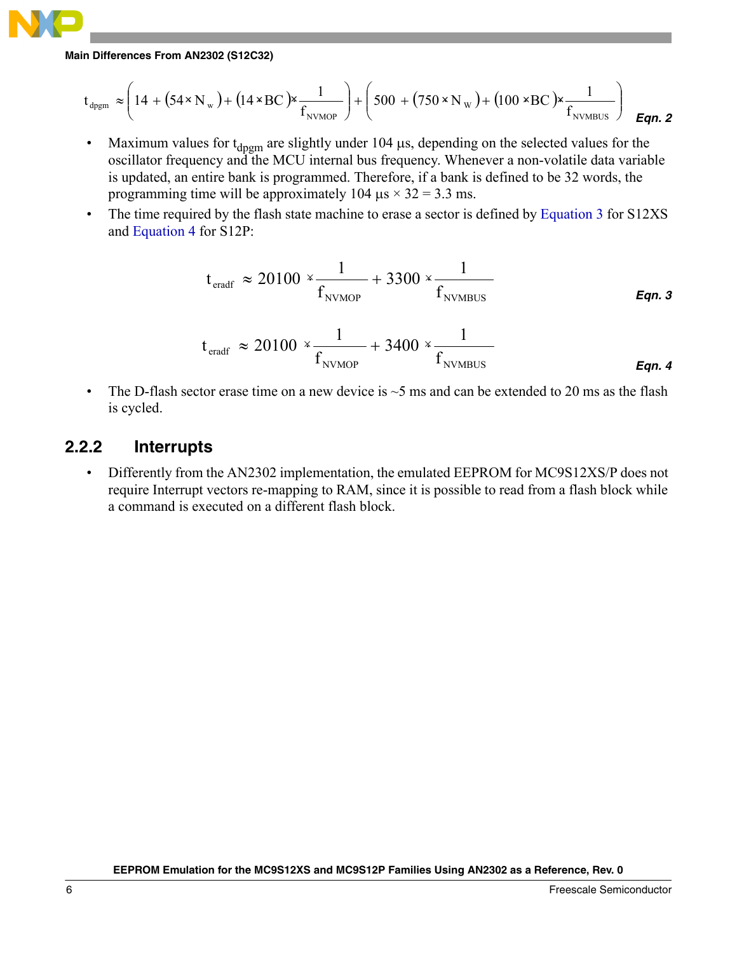

<span id="page-5-0"></span>
$$
t_{\text{dpgm}} \approx \left(14 + (54 \times N_w) + (14 \times BC) \times \frac{1}{f_{\text{NVMOP}}}\right) + \left(500 + (750 \times N_w) + (100 \times BC) \times \frac{1}{f_{\text{NVMBUS}}}\right)
$$
Eqn. 2

- Maximum values for  $t_{\text{dupgm}}$  are slightly under 104 μs, depending on the selected values for the oscillator frequency and the MCU internal bus frequency. Whenever a non-volatile data variable is updated, an entire bank is programmed. Therefore, if a bank is defined to be 32 words, the programming time will be approximately 104  $\mu$ s × 32 = 3.3 ms.
- <span id="page-5-1"></span>The time required by the flash state machine to erase a sector is defined by [Equation 3](#page-5-1) for S12XS and [Equation 4](#page-5-2) for S12P:

$$
t_{\text{eradf}}
$$
  $\approx 20100 \times \frac{1}{f_{\text{NVMOP}}} + 3300 \times \frac{1}{f_{\text{NVMBUS}}}$  *Eqn. 3*  
 $t_{\text{eradf}}$   $\approx 20100 \times \frac{1}{f_{\text{NVMOP}}} + 3400 \times \frac{1}{f_{\text{NVMBUS}}}$  *Eqn. 4*

<span id="page-5-2"></span>• The D-flash sector erase time on a new device is  $\sim$  5 ms and can be extended to 20 ms as the flash is cycled.

### **2.2.2 Interrupts**

• Differently from the AN2302 implementation, the emulated EEPROM for MC9S12XS/P does not require Interrupt vectors re-mapping to RAM, since it is possible to read from a flash block while a command is executed on a different flash block.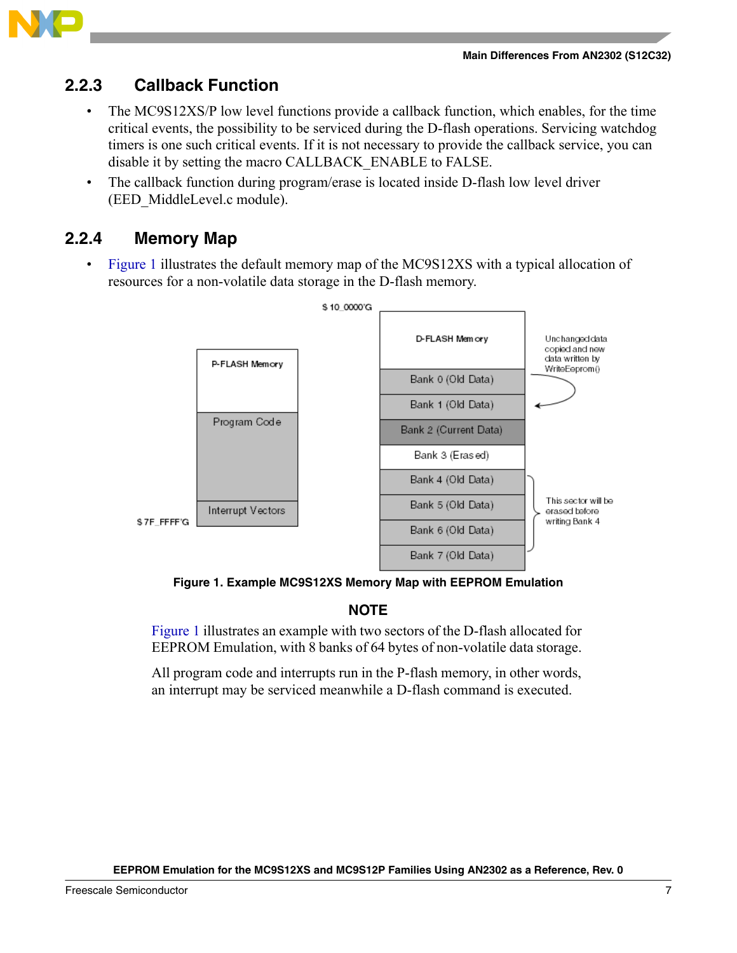

## **2.2.3 Callback Function**

- The MC9S12XS/P low level functions provide a callback function, which enables, for the time critical events, the possibility to be serviced during the D-flash operations. Servicing watchdog timers is one such critical events. If it is not necessary to provide the callback service, you can disable it by setting the macro CALLBACK\_ENABLE to FALSE.
- The callback function during program/erase is located inside D-flash low level driver (EED\_MiddleLevel.c module).

## **2.2.4 Memory Map**

• [Figure 1](#page-6-0) illustrates the default memory map of the MC9S12XS with a typical allocation of resources for a non-volatile data storage in the D-flash memory.



**Figure 1. Example MC9S12XS Memory Map with EEPROM Emulation**

#### **NOTE**

<span id="page-6-0"></span>[Figure 1](#page-6-0) illustrates an example with two sectors of the D-flash allocated for EEPROM Emulation, with 8 banks of 64 bytes of non-volatile data storage.

All program code and interrupts run in the P-flash memory, in other words, an interrupt may be serviced meanwhile a D-flash command is executed.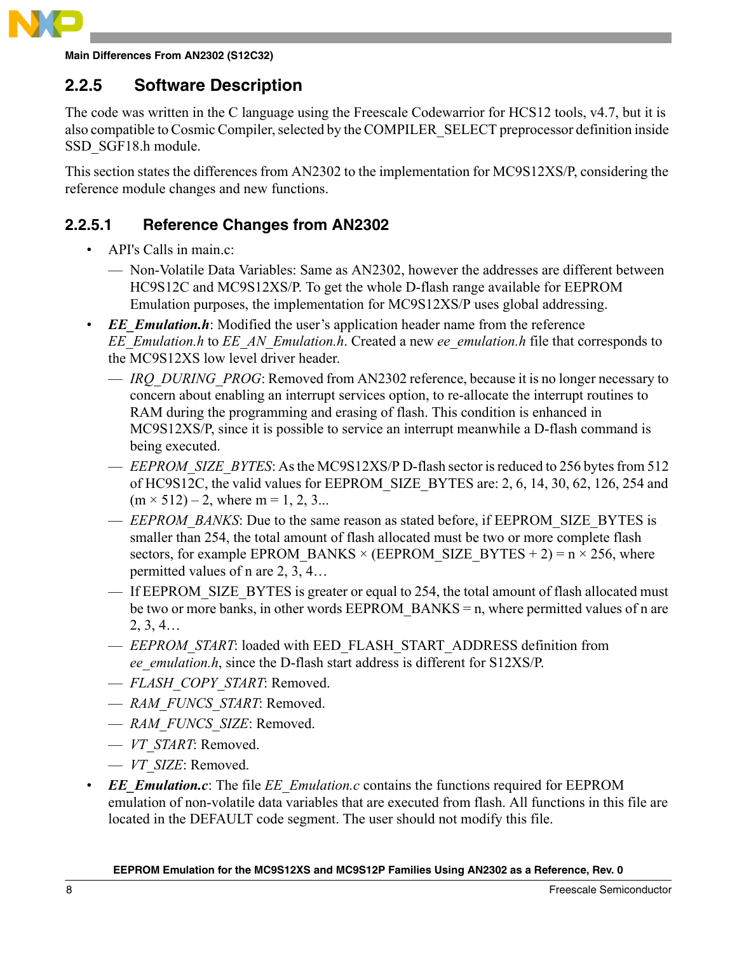

## **2.2.5 Software Description**

The code was written in the C language using the Freescale Codewarrior for HCS12 tools, v4.7, but it is also compatible to Cosmic Compiler, selected by the COMPILER\_SELECT preprocessor definition inside SSD\_SGF18.h module.

This section states the differences from AN2302 to the implementation for MC9S12XS/P, considering the reference module changes and new functions.

## **2.2.5.1 Reference Changes from AN2302**

- API's Calls in main.c:
	- Non-Volatile Data Variables: Same as AN2302, however the addresses are different between HC9S12C and MC9S12XS/P. To get the whole D-flash range available for EEPROM Emulation purposes, the implementation for MC9S12XS/P uses global addressing.
- *EE\_Emulation.h*: Modified the user's application header name from the reference *EE\_Emulation.h* to *EE\_AN\_Emulation.h*. Created a new *ee\_emulation.h* file that corresponds to the MC9S12XS low level driver header.
	- *IRO DURING PROG*: Removed from AN2302 reference, because it is no longer necessary to concern about enabling an interrupt services option, to re-allocate the interrupt routines to RAM during the programming and erasing of flash. This condition is enhanced in MC9S12XS/P, since it is possible to service an interrupt meanwhile a D-flash command is being executed.
	- *EEPROM\_SIZE\_BYTES*: As the MC9S12XS/P D-flash sector is reduced to 256 bytes from 512 of HC9S12C, the valid values for EEPROM\_SIZE\_BYTES are: 2, 6, 14, 30, 62, 126, 254 and  $(m \times 512) - 2$ , where m = 1, 2, 3...
	- *EEPROM\_BANKS*: Due to the same reason as stated before, if EEPROM\_SIZE\_BYTES is smaller than 254, the total amount of flash allocated must be two or more complete flash sectors, for example EPROM\_BANKS  $\times$  (EEPROM\_SIZE\_BYTES + 2) = n  $\times$  256, where permitted values of n are 2, 3, 4…
	- If EEPROM SIZE BYTES is greater or equal to 254, the total amount of flash allocated must be two or more banks, in other words  $EEPROM$  BANKS = n, where permitted values of n are  $2, 3, 4...$
	- *EEPROM\_START*: loaded with EED\_FLASH\_START\_ADDRESS definition from *ee\_emulation.h*, since the D-flash start address is different for S12XS/P.
	- *FLASH\_COPY\_START*: Removed.
	- *RAM\_FUNCS\_START*: Removed.
	- *RAM\_FUNCS\_SIZE*: Removed.
	- *VT\_START*: Removed.
	- *VT\_SIZE*: Removed.
- *EE\_Emulation.c*: The file *EE\_Emulation.c* contains the functions required for EEPROM emulation of non-volatile data variables that are executed from flash. All functions in this file are located in the DEFAULT code segment. The user should not modify this file.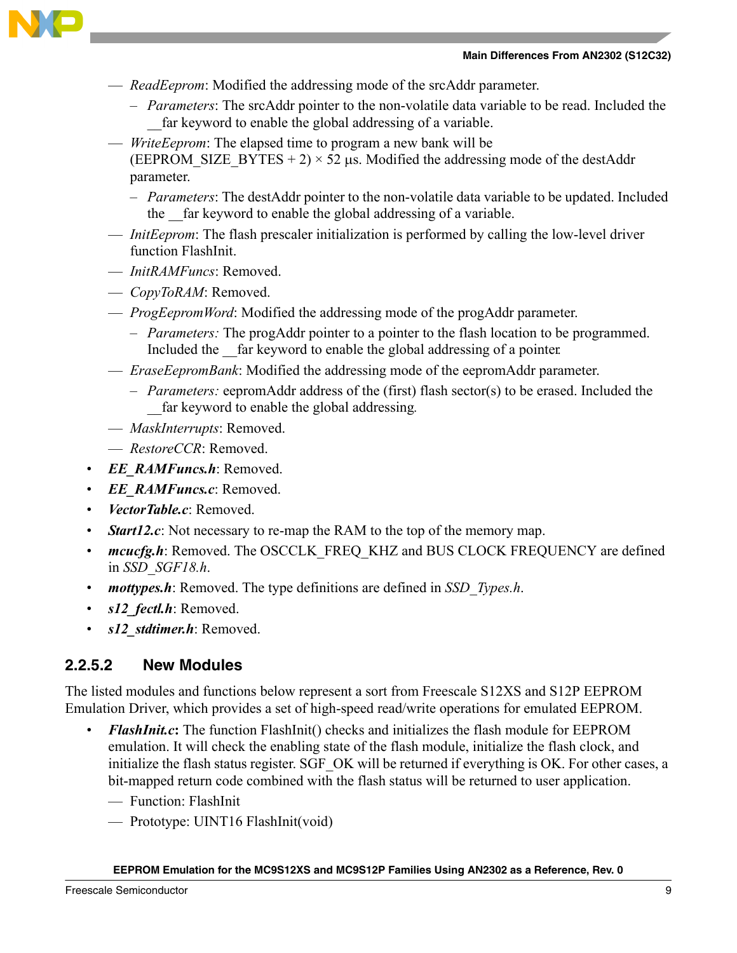

- *ReadEeprom*: Modified the addressing mode of the srcAddr parameter.
	- *Parameters*: The srcAddr pointer to the non-volatile data variable to be read. Included the far keyword to enable the global addressing of a variable.
- *WriteEeprom*: The elapsed time to program a new bank will be

(EEPROM\_SIZE\_BYTES + 2)  $\times$  52 μs. Modified the addressing mode of the destAddr parameter.

- *Parameters*: The destAddr pointer to the non-volatile data variable to be updated. Included the \_\_far keyword to enable the global addressing of a variable.
- *InitEeprom*: The flash prescaler initialization is performed by calling the low-level driver function FlashInit.
- *InitRAMFuncs*: Removed.
- *CopyToRAM*: Removed.
- *ProgEepromWord*: Modified the addressing mode of the progAddr parameter.
	- *Parameters:* The progAddr pointer to a pointer to the flash location to be programmed. Included the \_\_far keyword to enable the global addressing of a pointer*.*
- *EraseEepromBank*: Modified the addressing mode of the eepromAddr parameter.
	- *Parameters:* eepromAddr address of the (first) flash sector(s) to be erased. Included the \_\_far keyword to enable the global addressing*.*
- *MaskInterrupts*: Removed.
- *RestoreCCR*: Removed.
- *EE\_RAMFuncs.h*: Removed.
- *EE\_RAMFuncs.c*: Removed.
- *VectorTable.c*: Removed.
- *Start12.c*: Not necessary to re-map the RAM to the top of the memory map.
- *mcucfg.h*: Removed. The OSCCLK\_FREQ\_KHZ and BUS CLOCK FREQUENCY are defined in *SSD\_SGF18.h*.
- *mottypes.h*: Removed. The type definitions are defined in *SSD\_Types.h*.
- *s12\_fectl.h*: Removed.
- *s12\_stdtimer.h*: Removed.

## **2.2.5.2 New Modules**

The listed modules and functions below represent a sort from Freescale S12XS and S12P EEPROM Emulation Driver, which provides a set of high-speed read/write operations for emulated EEPROM.

- *FlashInit.c***:** The function FlashInit() checks and initializes the flash module for EEPROM emulation. It will check the enabling state of the flash module, initialize the flash clock, and initialize the flash status register. SGF\_OK will be returned if everything is OK. For other cases, a bit-mapped return code combined with the flash status will be returned to user application.
	- Function: FlashInit
	- Prototype: UINT16 FlashInit(void)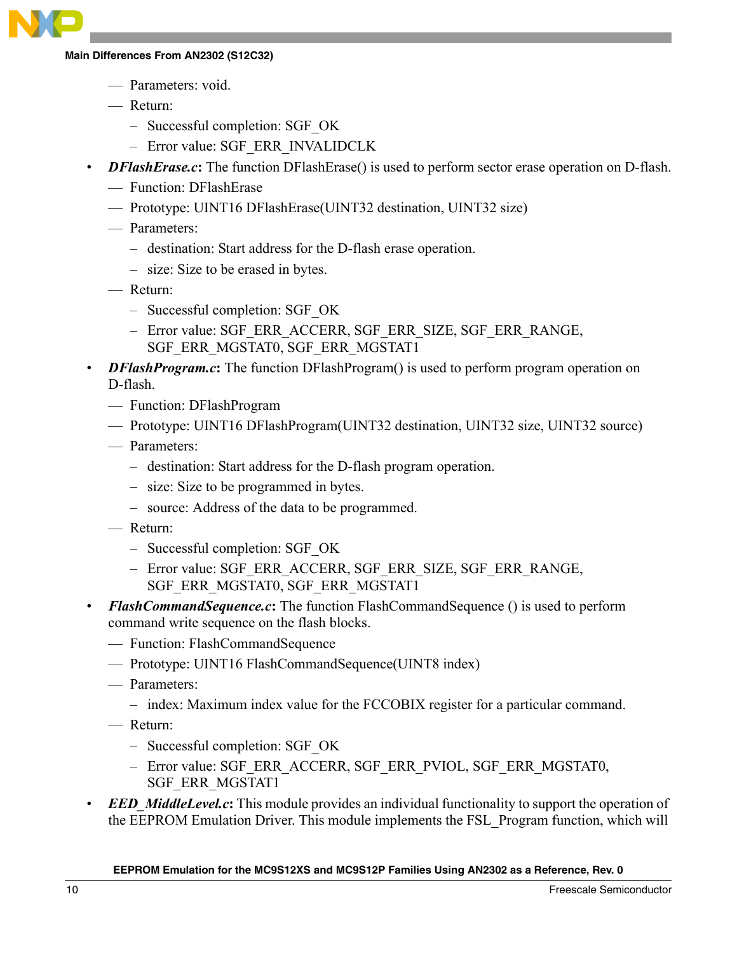

- Parameters: void.
- Return:
	- Successful completion: SGF\_OK
	- Error value: SGF\_ERR\_INVALIDCLK
- *DFlashErase.c*: The function DFlashErase() is used to perform sector erase operation on D-flash.
	- Function: DFlashErase
	- Prototype: UINT16 DFlashErase(UINT32 destination, UINT32 size)
	- Parameters:
		- destination: Start address for the D-flash erase operation.
		- size: Size to be erased in bytes.
	- Return:
		- Successful completion: SGF\_OK
		- Error value: SGF\_ERR\_ACCERR, SGF\_ERR\_SIZE, SGF\_ERR\_RANGE, SGF\_ERR\_MGSTAT0, SGF\_ERR\_MGSTAT1
- *DFlashProgram.c***:** The function DFlashProgram() is used to perform program operation on D-flash.
	- Function: DFlashProgram
	- Prototype: UINT16 DFlashProgram(UINT32 destination, UINT32 size, UINT32 source)
	- Parameters:
		- destination: Start address for the D-flash program operation.
		- size: Size to be programmed in bytes.
		- source: Address of the data to be programmed.
	- Return:
		- Successful completion: SGF\_OK
		- Error value: SGF\_ERR\_ACCERR, SGF\_ERR\_SIZE, SGF\_ERR\_RANGE, SGF\_ERR\_MGSTAT0, SGF\_ERR\_MGSTAT1
- *FlashCommandSequence.c***:** The function FlashCommandSequence () is used to perform command write sequence on the flash blocks.
	- Function: FlashCommandSequence
	- Prototype: UINT16 FlashCommandSequence(UINT8 index)
	- Parameters:
		- index: Maximum index value for the FCCOBIX register for a particular command.
	- Return:
		- Successful completion: SGF\_OK
		- Error value: SGF\_ERR\_ACCERR, SGF\_ERR\_PVIOL, SGF\_ERR\_MGSTAT0, SGF\_ERR\_MGSTAT1
- *EED MiddleLevel.c*: This module provides an individual functionality to support the operation of the EEPROM Emulation Driver. This module implements the FSL\_Program function, which will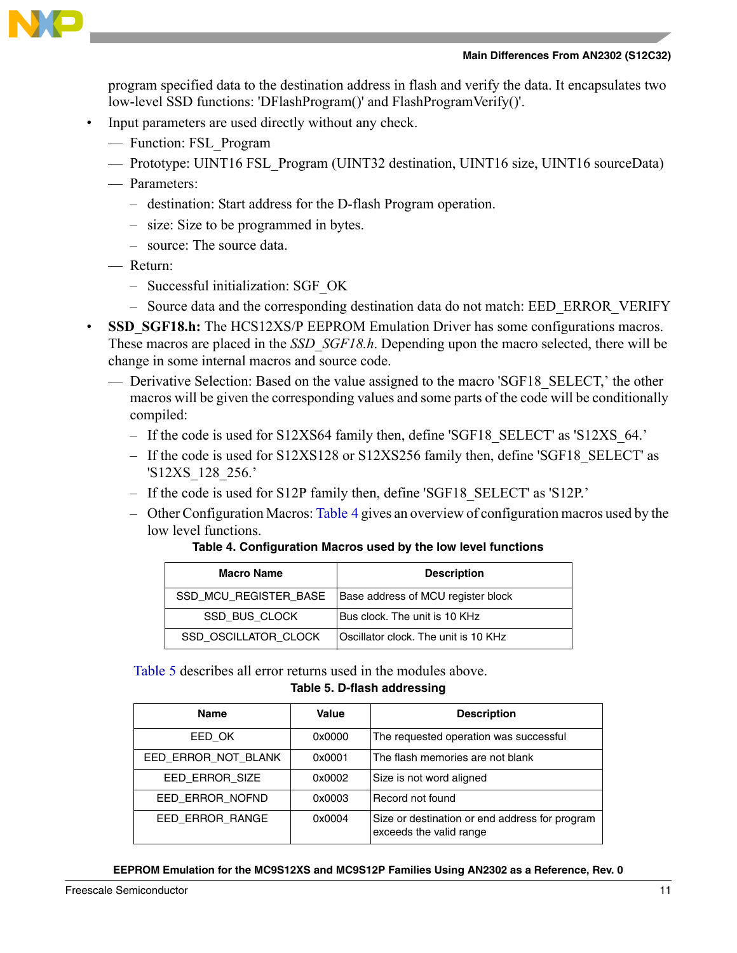

program specified data to the destination address in flash and verify the data. It encapsulates two low-level SSD functions: 'DFlashProgram()' and FlashProgramVerify()'.

- Input parameters are used directly without any check.
	- Function: FSL\_Program
	- Prototype: UINT16 FSL\_Program (UINT32 destination, UINT16 size, UINT16 sourceData)
	- Parameters:
		- destination: Start address for the D-flash Program operation.
		- size: Size to be programmed in bytes.
		- source: The source data.
	- Return:
		- Successful initialization: SGF\_OK
		- Source data and the corresponding destination data do not match: EED\_ERROR\_VERIFY
- **SSD SGF18.h:** The HCS12XS/P EEPROM Emulation Driver has some configurations macros. These macros are placed in the *SSD\_SGF18.h*. Depending upon the macro selected, there will be change in some internal macros and source code.
	- Derivative Selection: Based on the value assigned to the macro 'SGF18\_SELECT,' the other macros will be given the corresponding values and some parts of the code will be conditionally compiled:
		- If the code is used for S12XS64 family then, define 'SGF18\_SELECT' as 'S12XS\_64.'
		- If the code is used for S12XS128 or S12XS256 family then, define 'SGF18\_SELECT' as 'S12XS\_128\_256.'
		- If the code is used for S12P family then, define 'SGF18\_SELECT' as 'S12P.'
		- Other Configuration Macros: [Table 4](#page-10-0) gives an overview of configuration macros used by the low level functions.

| Table 4. Configuration Macros used by the low level functions |  |  |  |
|---------------------------------------------------------------|--|--|--|
|---------------------------------------------------------------|--|--|--|

<span id="page-10-0"></span>

| Macro Name                  | <b>Description</b>                          |
|-----------------------------|---------------------------------------------|
| SSD MCU REGISTER BASE       | Base address of MCU register block          |
| SSD BUS CLOCK               | Bus clock. The unit is 10 KHz               |
| <b>SSD OSCILLATOR CLOCK</b> | <b>Oscillator clock. The unit is 10 KHz</b> |

<span id="page-10-1"></span>[Table 5](#page-10-1) describes all error returns used in the modules above.

#### **Table 5. D-flash addressing**

| <b>Name</b>         | Value  | <b>Description</b>                                                        |
|---------------------|--------|---------------------------------------------------------------------------|
| EED OK              | 0x0000 | The requested operation was successful                                    |
| EED ERROR NOT BLANK | 0x0001 | The flash memories are not blank                                          |
| EED ERROR SIZE      | 0x0002 | Size is not word aligned                                                  |
| EED_ERROR_NOFND     | 0x0003 | Record not found                                                          |
| EED ERROR RANGE     | 0x0004 | Size or destination or end address for program<br>exceeds the valid range |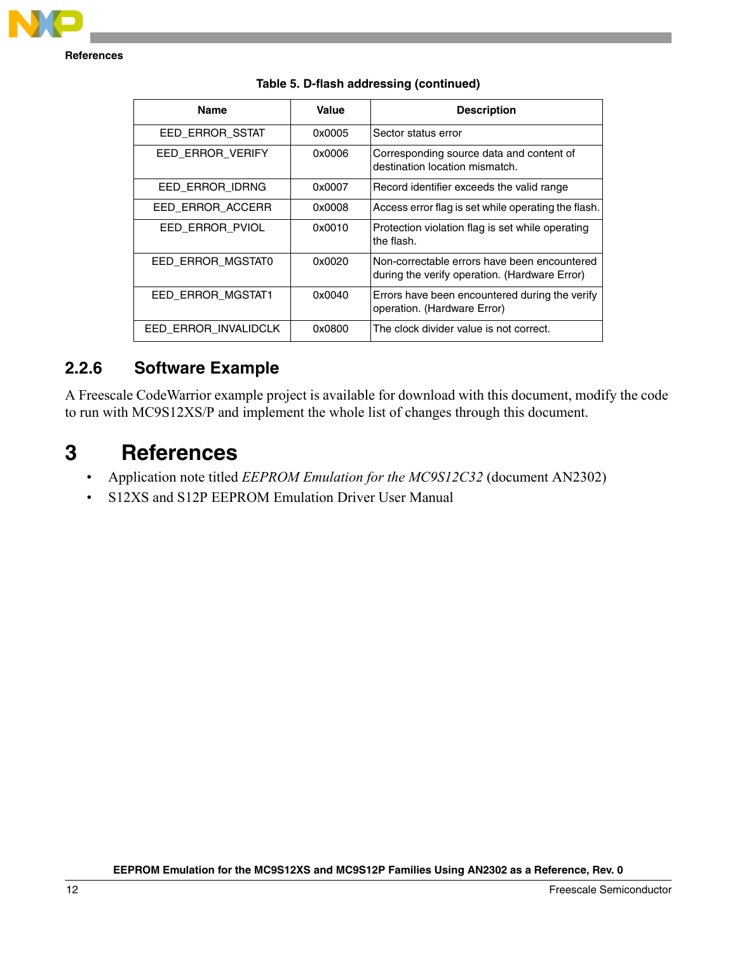

EED\_ERROR\_SSTAT | 0x0005 | Sector status error EED\_ERROR\_VERIFY | 0x0006 Corresponding source data and content of destination location mismatch. EED ERROR IDRNG  $\begin{vmatrix} 0 & 0 & 0 & 0 \\ 0 & 0 & 0 & 0 \\ 0 & 0 & 0 & 0 \end{vmatrix}$  Record identifier exceeds the valid range EED\_ERROR\_ACCERR  $\vert$  0x0008  $\vert$  Access error flag is set while operating the flash. EED\_ERROR\_PVIOL 0x0010 Protection violation flag is set while operating the flash. EED\_ERROR\_MGSTAT0 | 0x0020 | Non-correctable errors have been encountered during the verify operation. (Hardware Error) EED\_ERROR\_MGSTAT1 | 0x0040 | Errors have been encountered during the verify operation. (Hardware Error) EED\_ERROR\_INVALIDCLK | 0x0800 The clock divider value is not correct. Name | Value | Description

#### **Table 5. D-flash addressing (continued)**

### **2.2.6 Software Example**

A Freescale CodeWarrior example project is available for download with this document, modify the code to run with MC9S12XS/P and implement the whole list of changes through this document.

## <span id="page-11-0"></span>**3 References**

- Application note titled *EEPROM Emulation for the MC9S12C32* (document AN2302)
- S12XS and S12P EEPROM Emulation Driver User Manual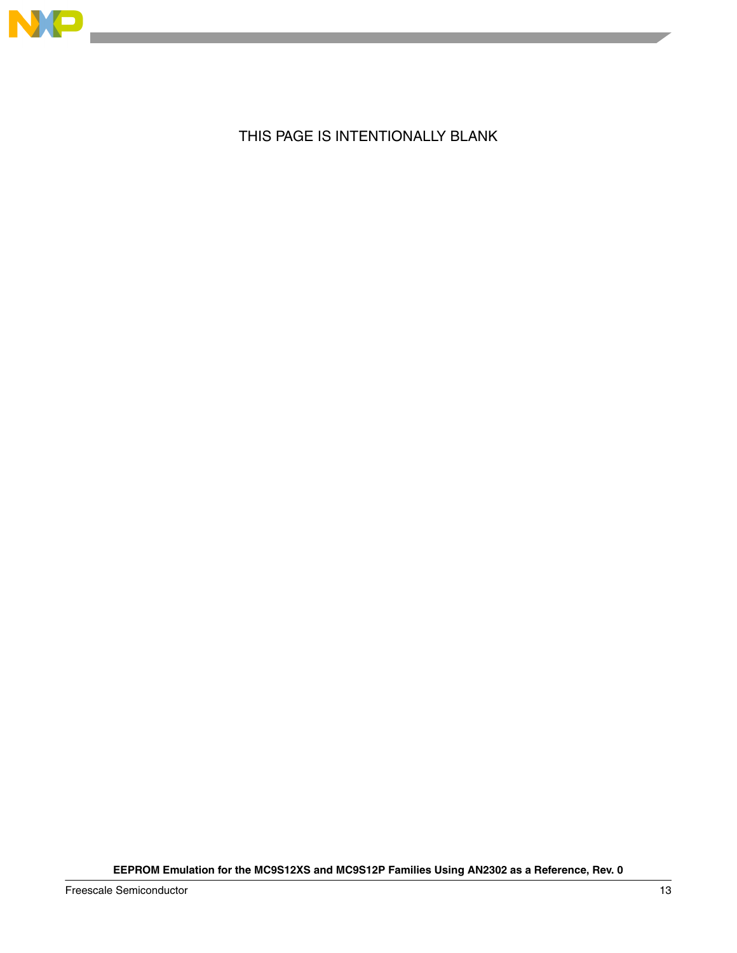

THIS PAGE IS INTENTIONALLY BLANK